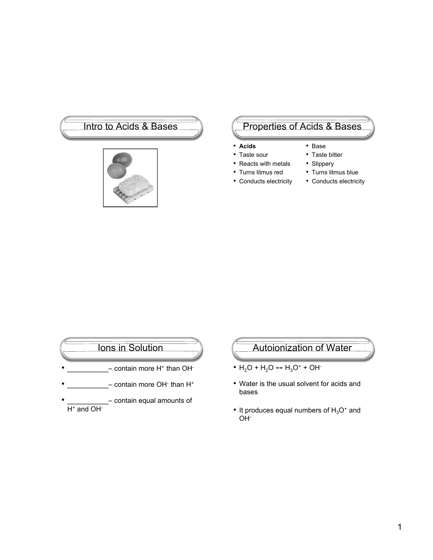

# Intro to Acids & Bases Represent Contract Contract of Acids & Bases

- **Acids**
- Taste sour
- Reacts with metals
- Turns litmus red
- Conducts electricity
- Taste bitter • Slippery
- Turns litmus blue
- Conducts electricity

• Base

- Ions in Solution  $-$  contain more H<sup>+</sup> than OH<sup>-</sup> • \_\_\_\_\_\_\_\_\_\_\_\_- contain more OH· than H<sup>+</sup> - contain equal amounts of  $H^+$  and OH $^-$
- Autoionization of Water
- $H_2O + H_2O \leftrightarrow H_3O^+ + OH^-$
- Water is the usual solvent for acids and bases
- It produces equal numbers of  $H_3O^+$  and OH-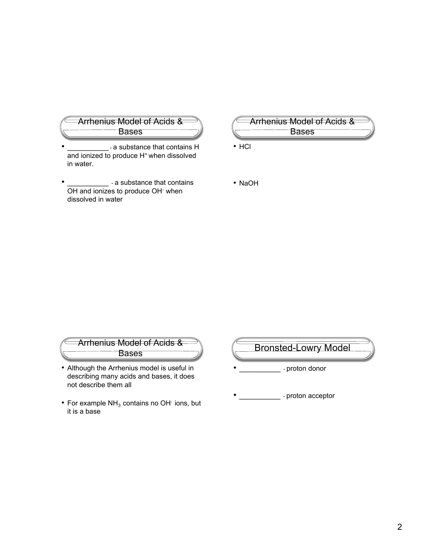

- a substance that contains H and ionized to produce H<sup>+</sup> when dissolved in water.
- \_-a substance that contains OH and ionizes to produce OH<sup>-</sup> when dissolved in water
- Arrhenius Model of Acids & Bases

• HCl

• NaOH



- Although the Arrhenius model is useful in describing many acids and bases, it does not describe them all
- For example  $NH<sub>3</sub>$  contains no OH $<sup>-</sup>$  ions, but</sup> it is a base

Bronsted-Lowry Model

- proton donor

- proton acceptor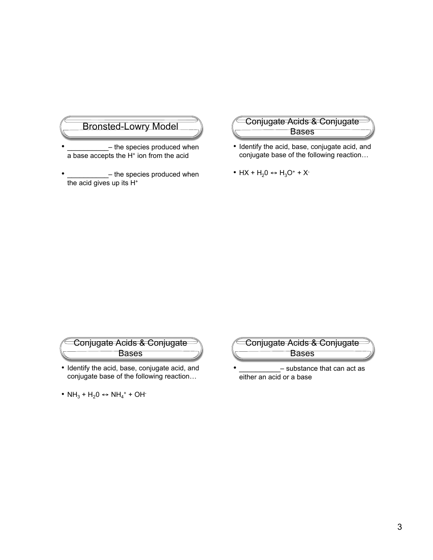# Bronsted-Lowry Model

- the species produced when a base accepts the H<sup>+</sup> ion from the acid
- the species produced when the acid gives up its H<sup>+</sup>



- Identify the acid, base, conjugate acid, and conjugate base of the following reaction…
- HX +  $H_2O \leftrightarrow H_3O^+$  + X<sup>-</sup>

## Conjugate Acids & Conjugate Bases

- Identify the acid, base, conjugate acid, and conjugate base of the following reaction…
- $NH_3 + H_2O \leftrightarrow NH_4^+ + OH^-$



- substance that can act as either an acid or a base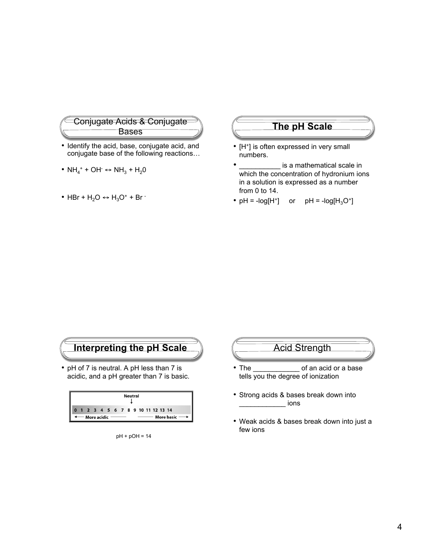

- Identify the acid, base, conjugate acid, and conjugate base of the following reactions…
- $NH_4^+ + OH^- \leftrightarrow NH_3 + H_2O$
- HBr +  $H_2O \leftrightarrow H_3O^+$  + Br  $\overline{\phantom{a}}$

### **The pH Scale**

- [H<sup>+</sup>] is often expressed in very small numbers.
- is a mathematical scale in which the concentration of hydronium ions in a solution is expressed as a number from 0 to 14.
- pH = - $log[H^+]$  or pH =  $-log[H_3O^+]$





#### pH + pOH = 14

# Acid Strength

- The \_\_\_\_\_\_\_\_\_\_\_\_ of an acid or a base tells you the degree of ionization
- Strong acids & bases break down into \_\_\_\_\_\_\_\_\_\_\_\_ ions
- Weak acids & bases break down into just a few ions